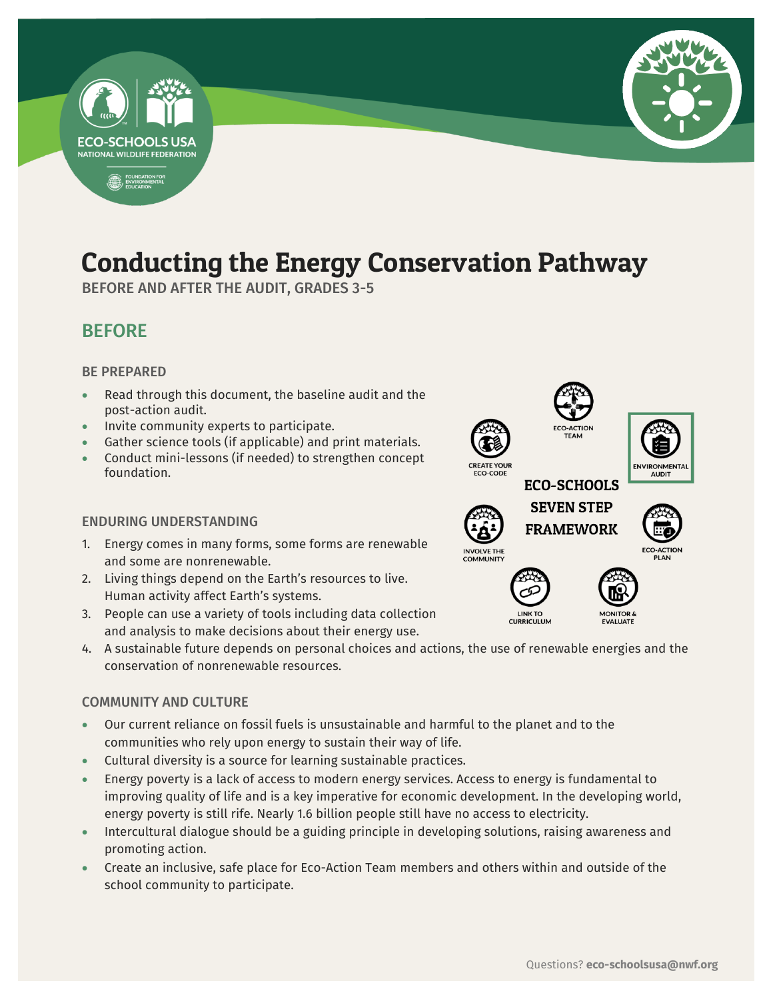

# Conducting the Energy Conservation Pathway

-

BEFORE AND AFTER THE AUDIT, GRADES 3-5

## BEFORE

#### BE PREPARED

- Read through this document, the baseline audit and the post-action audit.
- Invite community experts to participate.
- Gather science tools (if applicable) and print materials.
- Conduct mini-lessons (if needed) to strengthen concept foundation.

#### ENDURING UNDERSTANDING

- 1. Energy comes in many forms, some forms are renewable and some are nonrenewable.
- 2. Living things depend on the Earth's resources to live. Human activity affect Earth's systems.
- 3. People can use a variety of tools including data collection and analysis to make decisions about their energy use.
- 4. A sustainable future depends on personal choices and actions, the use of renewable energies and the conservation of nonrenewable resources.

#### COMMUNITY AND CULTURE

- Our current reliance on fossil fuels is unsustainable and harmful to the planet and to the communities who rely upon energy to sustain their way of life.
- Cultural diversity is a source for learning sustainable practices.
- Energy poverty is a lack of access to modern energy services. Access to energy is fundamental to improving quality of life and is a key imperative for economic development. In the developing world, energy poverty is still rife. Nearly 1.6 billion people still have no access to electricity.
- Intercultural dialogue should be a guiding principle in developing solutions, raising awareness and promoting action.
- Create an inclusive, safe place for Eco-Action Team members and others within and outside of the school community to participate.

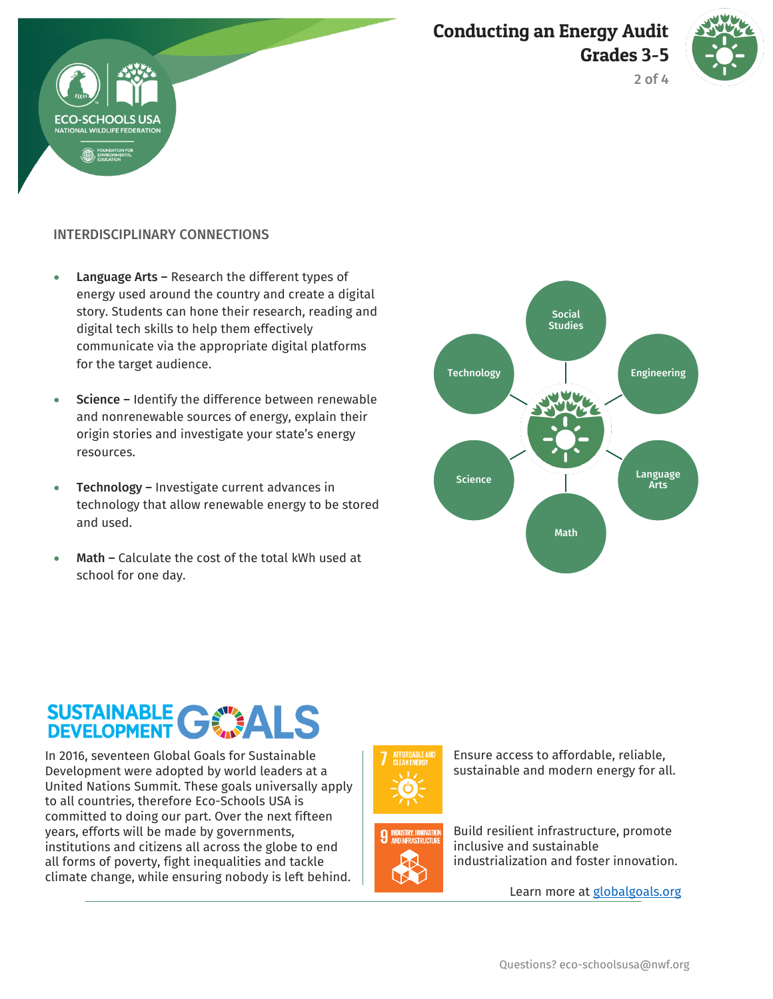





#### INTERDISCIPLINARY CONNECTIONS

- Language Arts Research the different types of energy used around the country and create a digital story. Students can hone their research, reading and digital tech skills to help them effectively communicate via the appropriate digital platforms for the target audience.
- Science Identify the difference between renewable and nonrenewable sources of energy, explain their origin stories and investigate your state's energy resources.
- Technology Investigate current advances in technology that allow renewable energy to be stored and used.
- Math Calculate the cost of the total kWh used at school for one day.



# SUSTAINABLE GWALS

In 2016, seventeen Global Goals for Sustainable Development were adopted by world leaders at a United Nations Summit. These goals universally apply to all countries, therefore Eco-Schools USA is committed to doing our part. Over the next fifteen years, efforts will be made by governments, institutions and citizens all across the globe to end all forms of poverty, fight inequalities and tackle climate change, while ensuring nobody is left behind.





Ensure access to affordable, reliable, sustainable and modern energy for all.

Build resilient infrastructure, promote inclusive and sustainable industrialization and foster innovation.

Learn more at [globalgoals.org](https://www.globalgoals.org/)

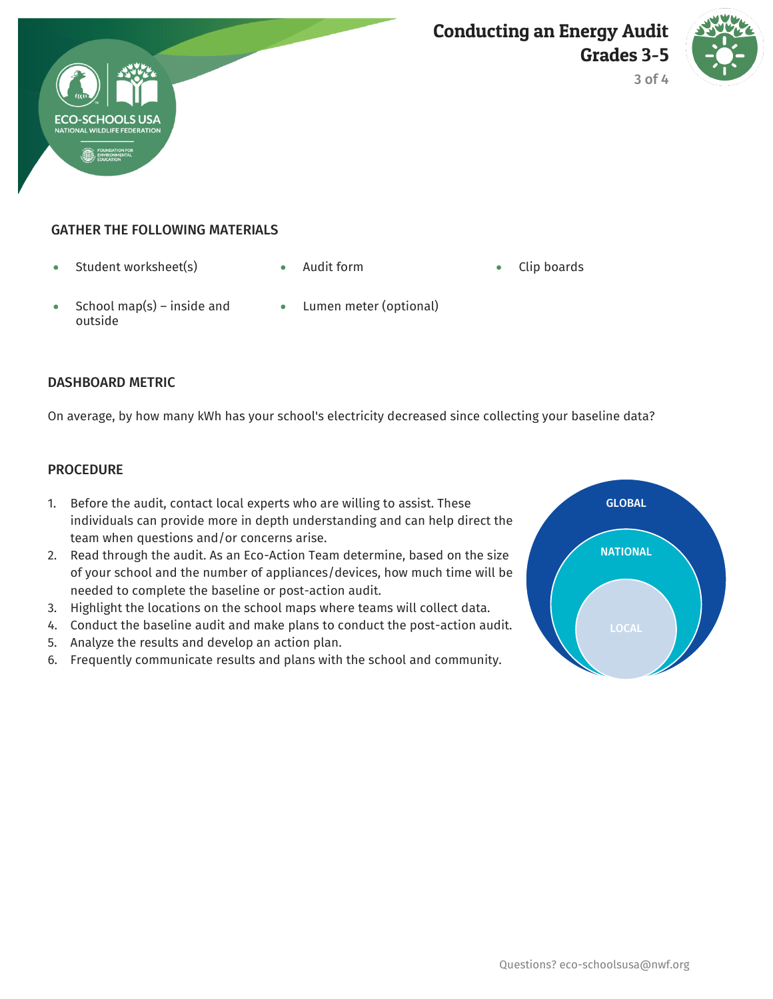



3 of 4

#### GATHER THE FOLLOWING MATERIALS

- Student worksheet(s) Audit form Clip boards
	-

- School map(s) inside and outside
- Lumen meter (optional)

#### DASHBOARD METRIC

On average, by how many kWh has your school's electricity decreased since collecting your baseline data?

#### **PROCEDURE**

- 1. Before the audit, contact local experts who are willing to assist. These individuals can provide more in depth understanding and can help direct the team when questions and/or concerns arise.
- 2. Read through the audit. As an Eco-Action Team determine, based on the size of your school and the number of appliances/devices, how much time will be needed to complete the baseline or post-action audit.
- 3. Highlight the locations on the school maps where teams will collect data.
- 4. Conduct the baseline audit and make plans to conduct the post-action audit.
- 5. Analyze the results and develop an action plan.
- 6. Frequently communicate results and plans with the school and community.